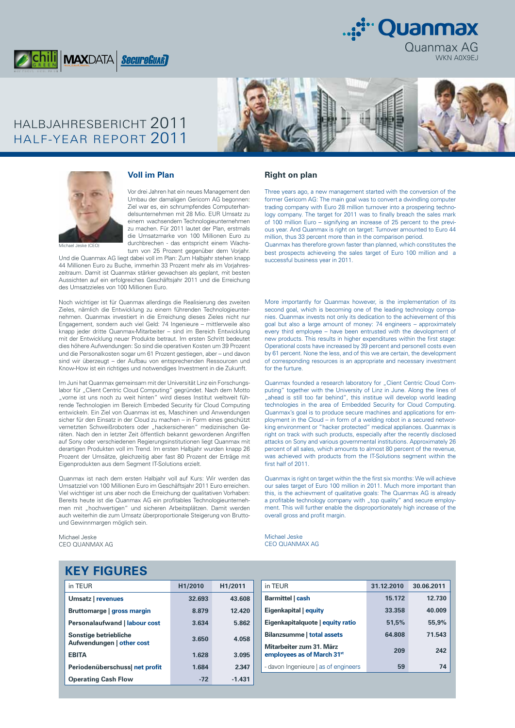

HALBJAHRESBERICHT 2011 HALF-YEAR REPORT 2011



Quanmax AG

:∵Quanmax

WKN A0X9EJ



#### **Voll im Plan**

Vor drei Jahren hat ein neues Management den Umbau der damaligen Gericom AG begonnen: Ziel war es, ein schrumpfendes Computerhandelsunternehmen mit 28 Mio. EUR Umsatz zu einem wachsendem Technologieunternehmen zu machen. Für 2011 lautet der Plan, erstmals die Umsatzmarke von 100 Millionen Euro zu durchbrechen - das entspricht einem Wachstum von 25 Prozent gegenüber dem Vorjahr.

Michael Jeske (CEO)

Und die Quanmax AG liegt dabei voll im Plan: Zum Halbjahr stehen knapp 44 Millionen Euro zu Buche, immerhin 33 Prozent mehr als im Vorjahreszeitraum. Damit ist Quanmax stärker gewachsen als geplant, mit besten Aussichten auf ein erfolgreiches Geschäftsjahr 2011 und die Erreichung des Umsatzzieles von 100 Millionen Euro.

Noch wichtiger ist für Quanmax allerdings die Realisierung des zweiten Zieles, nämlich die Entwicklung zu einem führenden Technologieunternehmen. Quanmax investiert in die Erreichung dieses Zieles nicht nur Engagement, sondern auch viel Geld: 74 Ingenieure – mittlerweile also knapp jeder dritte Quanmax-Mitarbeiter – sind im Bereich Entwicklung mit der Entwicklung neuer Produkte betraut. Im ersten Schritt bedeutet dies höhere Aufwendungen: So sind die operativen Kosten um 39 Prozent und die Personalkosten sogar um 61 Prozent gestiegen, aber – und davon sind wir überzeugt – der Aufbau von entsprechenden Ressourcen und Know-How ist ein richtiges und notwendiges Investment in die Zukunft.

Im Juni hat Quanmax gemeinsam mit der Universität Linz ein Forschungslabor für "Client Centric Cloud Computing" gegründet. Nach dem Motto "vorne ist uns noch zu weit hinten" wird dieses Institut weltweit führende Technologien im Bereich Embeded Security für Cloud Computing entwickeln. Ein Ziel von Quanmax ist es, Maschinen und Anwendungen sicher für den Einsatz in der Cloud zu machen – in Form eines geschützt vernetzten Schweißroboters oder "hackersicheren" medizinischen Geräten. Nach den in letzter Zeit öffentlich bekannt gewordenen Angriffen auf Sony oder verschiedenen Regierungsinstitutionen liegt Quanmax mit derartigen Produkten voll im Trend. Im ersten Halbjahr wurden knapp 26 Prozent der Umsätze, gleichzeitig aber fast 80 Prozent der Erträge mit Eigenprodukten aus dem Segment IT-Solutions erzielt.

Quanmax ist nach dem ersten Halbjahr voll auf Kurs: Wir werden das Umsatzziel von 100 Millionen Euro im Geschäftsjahr 2011 Euro erreichen. Viel wichtiger ist uns aber noch die Erreichung der qualitativen Vorhaben: Bereits heute ist die Quanmax AG ein profitables Technologieunternehmen mit "hochwertigen" und sicheren Arbeitsplätzen. Damit werden auch weiterhin die zum Umsatz überproportionale Steigerung von Bruttound Gewinnmargen möglich sein.

Michael Jeske CEO QUANMAX AG

#### **Right on plan**

Three years ago, a new management started with the conversion of the former Gericom AG: The main goal was to convert a dwindling computer trading company with Euro 28 million turnover into a prospering technology company. The target for 2011 was to finally breach the sales mark of 100 million Euro – signifying an increase of 25 percent to the previous year. And Quanmax is right on target: Turnover amounted to Euro 44 million, thus 33 percent more than in the comparison period.

Quanmax has therefore grown faster than planned, which constitutes the best prospects achieveing the sales target of Euro 100 million and a successful business year in 2011.

More importantly for Quanmax however, is the implementation of its second goal, which is becoming one of the leading technology companies. Quanmax invests not only its dedication to the achievement of this goal but also a large amount of money: 74 engineers – approximately every third employee – have been entrusted with the devolopment of new products. This results in higher expenditures within the first stage: Operational costs have increased by 39 percent and personell costs even by 61 percent. None the less, and of this we are certain, the development of corresponding resources is an appropriate and necessary investment for the furture.

Quanmax founded a research laboratory for "Client Centric Cloud Computing" together with the University of Linz in June. Along the lines of "ahead is still too far behind", this institue will develop world leading technologies in the area of Embedded Security for Cloud Computing. Quanmax's goal is to produce secure machines and applications for employment in the Cloud – in form of a welding robot in a secured networking environment or "hacker protected" medical appliances. Quanmax is right on track with such products, especially after the recently disclosed attacks on Sony and various governmental institutions. Approximately 26 percent of all sales, which amounts to almost 80 percent of the revenue, was achieved with products from the IT-Solutions segment within the first half of 2011.

Quanmax is right on target within the the first six months: We will achieve our sales target of Euro 100 million in 2011. Much more important than this, is the achievment of qualitative goals: The Quanmax AG is already a profitable technology company with "top quality" and secure employment. This will further enable the disproportionately high increase of the overall gross and profit margin.

Michael Jeske CEO QUANMAX AG

## **KEY FIGURES**

| in TEUR                                            | H <sub>1</sub> /2010 | H1/2011  |
|----------------------------------------------------|----------------------|----------|
| Umsatz   revenues                                  | 32.693               | 43.608   |
| Bruttomarge   gross margin                         | 8.879                | 12.420   |
| <b>Personalaufwand   labour cost</b>               | 3.634                | 5.862    |
| Sonstige betriebliche<br>Aufwendungen   other cost | 3.650                | 4.058    |
| <b>EBITA</b>                                       | 1.628                | 3.095    |
| Periodenüberschuss net profit                      | 1.684                | 2.347    |
| <b>Operating Cash Flow</b>                         | $-72$                | $-1.431$ |

| in TEUR                                                            | 31.12.2010 | 30.06.2011 |
|--------------------------------------------------------------------|------------|------------|
| Barmittel   cash                                                   | 15.172     | 12.730     |
| Eigenkapital   equity                                              | 33.358     | 40.009     |
| Eigenkapitalquote   equity ratio                                   | 51.5%      | 55,9%      |
| Bilanzsumme   total assets                                         | 64.808     | 71.543     |
| Mitarbeiter zum 31. März<br>employees as of March 31 <sup>st</sup> | 209        | 242        |
| - davon Ingenieure   as of engineers                               | 59         | 74         |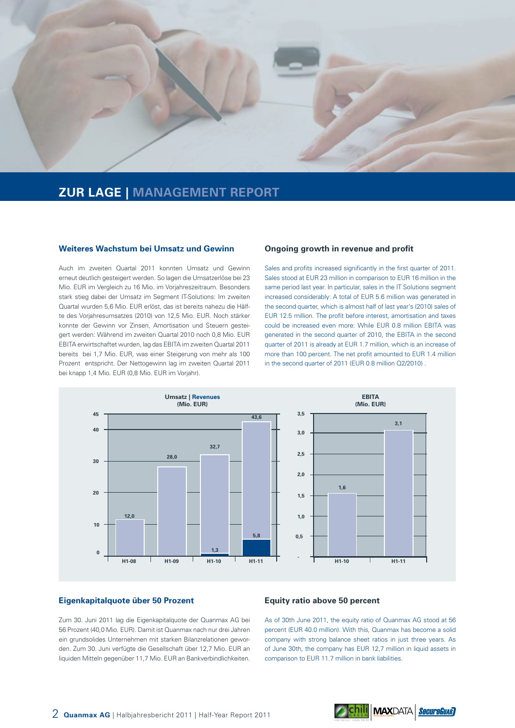

### **ZUR LAGE | MANAGEMENT REPORT**

#### **Weiteres Wachstum bei Umsatz und Gewinn**

Auch im zweiten Quartal 2011 konnten Umsatz und Gewinn erneut deutlich gesteigert werden. So lagen die Umsatzerlöse bei 23 Mio. EUR im Vergleich zu 16 Mio. im Vorjahreszeitraum. Besonders stark stieg dabei der Umsatz im Segment IT-Solutions: Im zweiten Quartal wurden 5,6 Mio. EUR erlöst, das ist bereits nahezu die Hälfte des Vorjahresumsatzes (2010) von 12,5 Mio. EUR. Noch stärker konnte der Gewinn vor Zinsen, Amortisation und Steuern gesteigert werden: Während im zweiten Quartal 2010 noch 0,8 Mio. EUR EBITA erwirtschaftet wurden, lag das EBITA im zweiten Quartal 2011 bereits bei 1,7 Mio. EUR, was einer Steigerung von mehr als 100 Prozent entspricht. Der Nettogewinn lag im zweiten Quartal 2011 bei knapp 1,4 Mio. EUR (0,8 Mio. EUR im Vorjahr).

#### **Ongoing growth in revenue and profit**

Sales and profits increased significantly in the first quarter of 2011. Sales stood at EUR 23 million in comparison to EUR 16 million in the same period last year. In particular, sales in the IT Solutions segment increased considerably: A total of EUR 5.6 million was generated in the second quarter, which is almost half of last year's (2010) sales of EUR 12.5 million. The profit before interest, amortisation and taxes could be increased even more: While EUR 0.8 million EBITA was generated in the second quarter of 2010, the EBITA in the second quarter of 2011 is already at EUR 1.7 million, which is an increase of more than 100 percent. The net profit amounted to EUR 1.4 million in the second quarter of 2011 (EUR 0.8 million Q2/2010) .



#### **Eigenkapitalquote über 50 Prozent**

Zum 30. Juni 2011 lag die Eigenkapitalquote der Quanmax AG bei 56 Prozent (40,0 Mio. EUR). Damit ist Quanmax nach nur drei Jahren ein grundsolides Unternehmen mit starken Bilanzrelationen geworden. Zum 30. Juni verfügte die Gesellschaft über 12,7 Mio. EUR an liquiden Mitteln gegenüber 11,7 Mio. EUR an Bankverbindlichkeiten.

#### **Equity ratio above 50 percent**

As of 30th June 2011, the equity ratio of Quanmax AG stood at 56 percent (EUR 40.0 million). With this, Quanmax has become a solid company with strong balance sheet ratios in just three years. As of June 30th, the company has EUR 12,7 million in liquid assets in comparison to EUR 11.7 million in bank liabilities.

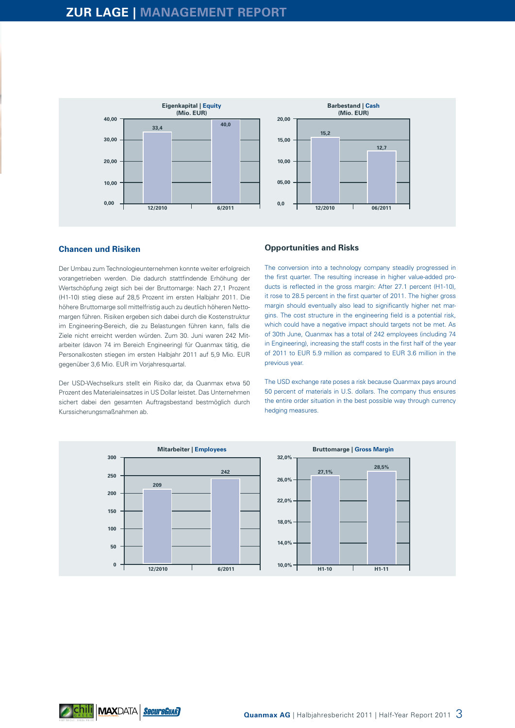

#### **Chancen und Risiken**

Der Umbau zum Technologieunternehmen konnte weiter erfolgreich vorangetrieben werden. Die dadurch stattfindende Erhöhung der Wertschöpfung zeigt sich bei der Bruttomarge: Nach 27,1 Prozent (H1-10) stieg diese auf 28,5 Prozent im ersten Halbjahr 2011. Die höhere Bruttomarge soll mittelfristig auch zu deutlich höheren Nettomargen führen. Risiken ergeben sich dabei durch die Kostenstruktur im Engineering-Bereich, die zu Belastungen führen kann, falls die Ziele nicht erreicht werden würden. Zum 30. Juni waren 242 Mitarbeiter (davon 74 im Bereich Engineering) für Quanmax tätig, die Personalkosten stiegen im ersten Halbjahr 2011 auf 5,9 Mio. EUR gegenüber 3,6 Mio. EUR im Vorjahresquartal.

Der USD-Wechselkurs stellt ein Risiko dar, da Quanmax etwa 50 Prozent des Materialeinsatzes in US Dollar leistet. Das Unternehmen sichert dabei den gesamten Auftragsbestand bestmöglich durch Kurssicherungsmaßnahmen ab.

#### **Opportunities and Risks**

The conversion into a technology company steadily progressed in the first quarter. The resulting increase in higher value-added products is reflected in the gross margin: After 27.1 percent (H1-10), it rose to 28.5 percent in the first quarter of 2011. The higher gross margin should eventually also lead to significantly higher net margins. The cost structure in the engineering field is a potential risk, which could have a negative impact should targets not be met. As of 30th June, Quanmax has a total of 242 employees (including 74 in Engineering), increasing the staff costs in the first half of the year of 2011 to EUR 5.9 million as compared to EUR 3.6 million in the previous year.

The USD exchange rate poses a risk because Quanmax pays around 50 percent of materials in U.S. dollars. The company thus ensures the entire order situation in the best possible way through currency hedging measures.

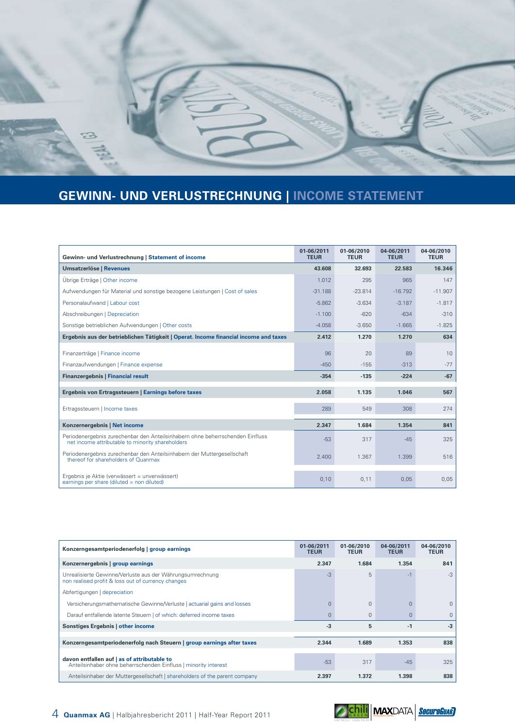

# **GEWINN- UND VERLUSTRECHNUNG | INCOME STATEMENT**

| Gewinn- und Verlustrechnung   Statement of income                                                                                 | 01-06/2011<br><b>TEUR</b> | 01-06/2010<br><b>TEUR</b> | 04-06/2011<br><b>TEUR</b> | 04-06/2010<br><b>TEUR</b> |
|-----------------------------------------------------------------------------------------------------------------------------------|---------------------------|---------------------------|---------------------------|---------------------------|
| <b>Umsatzerlöse   Revenues</b>                                                                                                    | 43.608                    | 32.693                    | 22.583                    | 16.346                    |
| Übrige Erträge   Other income                                                                                                     | 1.012                     | 295                       | 965                       | 147                       |
| Aufwendungen für Material und sonstige bezogene Leistungen   Cost of sales                                                        | $-31.188$                 | $-23.814$                 | $-16.792$                 | $-11.907$                 |
| Personalaufwand   Labour cost                                                                                                     | $-5.862$                  | $-3.634$                  | $-3.187$                  | $-1.817$                  |
| Abschreibungen   Depreciation                                                                                                     | $-1.100$                  | $-620$                    | $-634$                    | $-310$                    |
| Sonstige betrieblichen Aufwendungen   Other costs                                                                                 | $-4.058$                  | $-3.650$                  | $-1.665$                  | $-1.825$                  |
| Ergebnis aus der betrieblichen Tätigkeit   Operat. Income financial income and taxes                                              | 2.412                     | 1.270                     | 1.270                     | 634                       |
| Finanzerträge   Finance income                                                                                                    | 96                        | 20                        | 89                        | 10                        |
| Finanzaufwendungen   Finance expense                                                                                              | $-450$                    | $-155$                    | $-313$                    | $-77$                     |
| <b>Finanzergebnis   Financial result</b>                                                                                          | $-354$                    | $-135$                    | $-224$                    | $-67$                     |
| Ergebnis von Ertragssteuern   Earnings before taxes                                                                               | 2.058                     | 1.135                     | 1.046                     | 567                       |
| Ertragssteuern   Income taxes                                                                                                     | 289                       | 549                       | 308                       | 274                       |
| Konzernergebnis   Net income                                                                                                      | 2.347                     | 1.684                     | 1.354                     | 841                       |
| Periodenergebnis zurechenbar den Anteilsinhabern ohne beherrschenden Einfluss<br>net income attributable to minority shareholders | $-53$                     | 317                       | $-45$                     | 325                       |
| Periodenergebnis zurechenbar den Anteilsinhabern der Muttergesellschaft<br>thereof for shareholders of Quanmax                    | 2.400                     | 1.367                     | 1.399                     | 516                       |
| Ergebnis je Aktie (verwässert = unverwässert)<br>earnings per share (diluted $=$ non diluted)                                     | 0,10                      | 0,11                      | 0,05                      | 0,05                      |

| Konzerngesamtperiodenerfolg   group earnings                                                                    | 01-06/2011<br><b>TEUR</b> | 01-06/2010<br><b>TEUR</b> | 04-06/2011<br><b>TEUR</b> | 04-06/2010<br><b>TEUR</b> |
|-----------------------------------------------------------------------------------------------------------------|---------------------------|---------------------------|---------------------------|---------------------------|
| Konzernergebnis   group earnings                                                                                | 2.347                     | 1.684                     | 1.354                     | 841                       |
| Unrealisierte Gewinne/Verluste aus der Währungsumrechnung<br>non realised profit & loss out of currency changes | $-3$                      | 5                         | $-1$                      | $-3$                      |
| Abfertigungen   depreciation                                                                                    |                           |                           |                           |                           |
| Versicherungsmathematische Gewinne/Verluste   actuarial gains and losses                                        |                           | $\mathbf{0}$              | $\Omega$                  | $\Omega$                  |
| Darauf entfallende latente Steuern   of which: deferred income taxes                                            |                           | $\mathbf{0}$              | $\Omega$                  | $\Omega$                  |
| <b>Sonstiges Ergebnis   other income</b>                                                                        | $-3$                      | 5                         | $-1$                      | $-3$                      |
| Konzerngesamtperiodenerfolg nach Steuern   group earnings after taxes                                           | 2.344                     | 1.689                     | 1.353                     | 838                       |
|                                                                                                                 |                           |                           |                           |                           |
| davon entfallen auf   as of attributable to<br>Anteilsinhaber ohne beherrschenden Einfluss   minority interest  | $-53$                     | 317                       | $-45$                     | 325                       |
| Anteilsinhaber der Muttergesellschaft   shareholders of the parent company                                      | 2.397                     | 1.372                     | 1.398                     | 838                       |

*o* <mark>chili</mark> maxdata <mark>*secureGuar*)</mark>

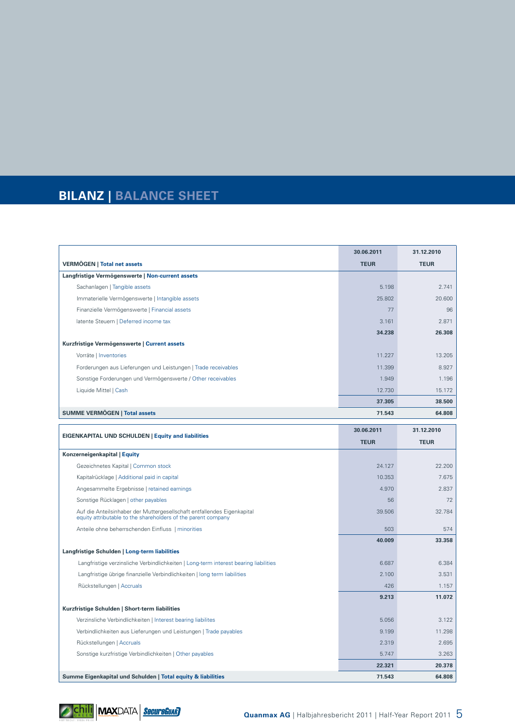# **BILANZ | BALANCE SHEET**

|                                                                | 30.06.2011  | 31.12.2010  |
|----------------------------------------------------------------|-------------|-------------|
| <b>VERMÖGEN   Total net assets</b>                             | <b>TEUR</b> | <b>TEUR</b> |
| Langfristige Vermögenswerte   Non-current assets               |             |             |
| Sachanlagen   Tangible assets                                  | 5.198       | 2.741       |
| Immaterielle Vermögenswerte   Intangible assets                | 25,802      | 20.600      |
| Finanzielle Vermögenswerte   Financial assets                  | 77          | 96          |
| latente Steuern   Deferred income tax                          | 3.161       | 2.871       |
|                                                                | 34.238      | 26.308      |
| Kurzfristige Vermögenswerte   Current assets                   |             |             |
| Vorräte   Inventories                                          | 11.227      | 13.205      |
| Forderungen aus Lieferungen und Leistungen   Trade receivables | 11.399      | 8.927       |
| Sonstige Forderungen und Vermögenswerte / Other receivables    | 1.949       | 1.196       |
| Liquide Mittel   Cash                                          | 12.730      | 15.172      |
|                                                                | 37.305      | 38.500      |
| <b>SUMME VERMÖGEN   Total assets</b>                           | 71.543      | 64.808      |

|                                                                                                                                          | 30.06.2011  | 31.12.2010  |
|------------------------------------------------------------------------------------------------------------------------------------------|-------------|-------------|
| <b>EIGENKAPITAL UND SCHULDEN   Equity and liabilities</b>                                                                                | <b>TEUR</b> | <b>TEUR</b> |
| Konzerneigenkapital   Equity                                                                                                             |             |             |
| Gezeichnetes Kapital   Common stock                                                                                                      | 24.127      | 22.200      |
| Kapitalrücklage   Additional paid in capital                                                                                             | 10.353      | 7.675       |
| Angesammelte Ergebnisse   retained earnings                                                                                              | 4.970       | 2.837       |
| Sonstige Rücklagen   other payables                                                                                                      | 56          | 72          |
| Auf die Anteilsinhaber der Muttergesellschaft entfallendes Eigenkapital<br>equity attributable to the shareholders of the parent company | 39.506      | 32.784      |
| Anteile ohne beherrschenden Einfluss   minorities                                                                                        | 503         | 574         |
|                                                                                                                                          | 40.009      | 33.358      |
| Langfristige Schulden   Long-term liabilities                                                                                            |             |             |
| Langfristige verzinsliche Verbindlichkeiten   Long-term interest bearing liabilities                                                     | 6.687       | 6.384       |
| Langfristige übrige finanzielle Verbindlichkeiten   long term liabilities                                                                | 2.100       | 3.531       |
| Rückstellungen   Accruals                                                                                                                | 426         | 1.157       |
|                                                                                                                                          | 9.213       | 11.072      |
| Kurzfristige Schulden   Short-term liabilities                                                                                           |             |             |
| Verzinsliche Verbindlichkeiten   Interest bearing liabilites                                                                             | 5.056       | 3.122       |
| Verbindlichkeiten aus Lieferungen und Leistungen   Trade payables                                                                        | 9.199       | 11.298      |
| Rückstellungen   Accruals                                                                                                                | 2.319       | 2.695       |
| Sonstige kurzfristige Verbindlichkeiten   Other payables                                                                                 | 5.747       | 3.263       |
|                                                                                                                                          | 22.321      | 20.378      |
| Summe Eigenkapital und Schulden   Total equity & liabilities                                                                             | 71.543      | 64.808      |

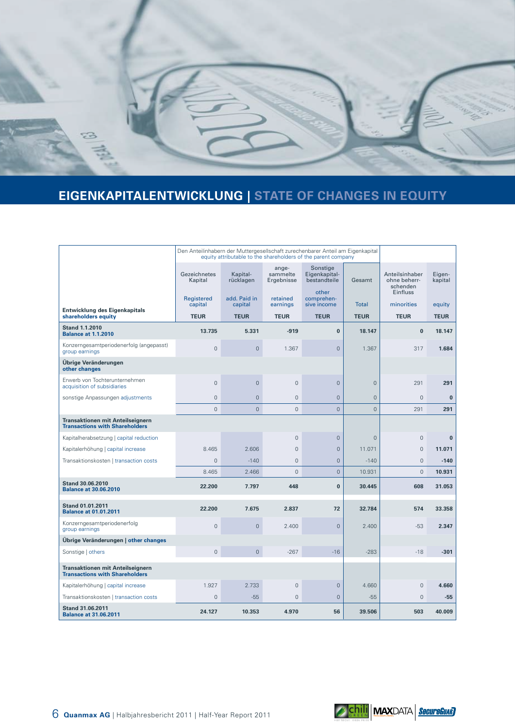

# **EIGENKAPITALENTWICKLUNG | STATE OF CHANGES IN EQUITY**

|                                                                                  |                         | Den Anteilinhabern der Muttergesellschaft zurechenbarer Anteil am Eigenkapital<br>equity attributable to the shareholders of the parent company |                                 |                                           |                |                                            |                   |
|----------------------------------------------------------------------------------|-------------------------|-------------------------------------------------------------------------------------------------------------------------------------------------|---------------------------------|-------------------------------------------|----------------|--------------------------------------------|-------------------|
|                                                                                  | Gezeichnetes<br>Kapital | Kapital-<br>rücklagen                                                                                                                           | ange-<br>sammelte<br>Ergebnisse | Sonstige<br>Eigenkapital-<br>bestandteile | Gesamt         | Anteilsinhaber<br>ohne beherr-<br>schenden | Eigen-<br>kapital |
|                                                                                  | Registered<br>capital   | add. Paid in<br>capital                                                                                                                         | retained<br>earnings            | other<br>comprehen-<br>sive income        | <b>Total</b>   | Einfluss<br>minorities                     | equity            |
| Entwicklung des Eigenkapitals<br>shareholders equity                             | <b>TEUR</b>             | <b>TEUR</b>                                                                                                                                     | <b>TEUR</b>                     | <b>TEUR</b>                               | <b>TEUR</b>    | <b>TEUR</b>                                | <b>TEUR</b>       |
| <b>Stand 1.1.2010</b><br><b>Balance at 1.1.2010</b>                              | 13.735                  | 5.331                                                                                                                                           | $-919$                          | $\bf{0}$                                  | 18.147         | $\bf{0}$                                   | 18.147            |
| Konzerngesamtperiodenerfolg (angepasst)<br>group earnings                        | $\overline{0}$          | $\mathbf 0$                                                                                                                                     | 1.367                           | $\overline{0}$                            | 1.367          | 317                                        | 1.684             |
| Übrige Veränderungen<br>other changes                                            |                         |                                                                                                                                                 |                                 |                                           |                |                                            |                   |
| Erwerb von Tochterunternehmen<br>acquisition of subsidiaries                     | $\Omega$                | $\mathbf{0}$                                                                                                                                    | $\mathbf{0}$                    | $\overline{0}$                            | $\mathbf{0}$   | 291                                        | 291               |
| sonstige Anpassungen adjustments                                                 | $\mathbf{0}$            | $\overline{0}$                                                                                                                                  | $\mathbf{0}$                    | $\overline{0}$                            | $\mathbf{0}$   | $\overline{0}$                             | $\bf{0}$          |
|                                                                                  | $\mathbf{0}$            | $\overline{0}$                                                                                                                                  | $\overline{0}$                  | $\overline{0}$                            | $\overline{0}$ | 291                                        | 291               |
| <b>Transaktionen mit Anteilseignern</b><br><b>Transactions with Shareholders</b> |                         |                                                                                                                                                 |                                 |                                           |                |                                            |                   |
| Kapitalherabsetzung   capital reduction                                          |                         |                                                                                                                                                 | $\overline{0}$                  | $\overline{0}$                            | $\mathbf{0}$   | $\overline{0}$                             | $\bf{0}$          |
| Kapitalerhöhung   capital increase                                               | 8.465                   | 2.606                                                                                                                                           | $\Omega$                        | $\Omega$                                  | 11.071         | $\Omega$                                   | 11.071            |
| Transaktionskosten   transaction costs                                           | $\mathbf{0}$            | $-140$                                                                                                                                          | $\mathbf{0}$                    | $\mathbf 0$                               | $-140$         | $\overline{0}$                             | $-140$            |
|                                                                                  | 8.465                   | 2.466                                                                                                                                           | $\Omega$                        | $\overline{0}$                            | 10.931         | $\overline{0}$                             | 10.931            |
| <b>Stand 30.06.2010</b><br><b>Balance at 30.06.2010</b>                          | 22.200                  | 7.797                                                                                                                                           | 448                             | $\bf{0}$                                  | 30.445         | 608                                        | 31.053            |
| <b>Stand 01.01.2011</b><br><b>Balance at 01.01.2011</b>                          | 22.200                  | 7.675                                                                                                                                           | 2.837                           | 72                                        | 32.784         | 574                                        | 33.358            |
| Konzerngesamtperiodenerfolg<br>group earnings                                    | $\Omega$                | $\overline{0}$                                                                                                                                  | 2.400                           | $\Omega$                                  | 2.400          | $-53$                                      | 2.347             |
| Übrige Veränderungen   other changes                                             |                         |                                                                                                                                                 |                                 |                                           |                |                                            |                   |
| Sonstige   others                                                                | $\mathbf{0}$            | $\overline{0}$                                                                                                                                  | $-267$                          | $-16$                                     | $-283$         | $-18$                                      | $-301$            |
| <b>Transaktionen mit Anteilseignern</b><br><b>Transactions with Shareholders</b> |                         |                                                                                                                                                 |                                 |                                           |                |                                            |                   |
| Kapitalerhöhung   capital increase                                               | 1.927                   | 2.733                                                                                                                                           | $\mathbf{0}$                    | $\mathbf 0$                               | 4.660          | $\mathbf 0$                                | 4.660             |
| Transaktionskosten   transaction costs                                           | $\mathbf{0}$            | $-55$                                                                                                                                           | $\mathbf{0}$                    | $\overline{0}$                            | $-55$          | $\mathbf{0}$                               | $-55$             |
| <b>Stand 31.06.2011</b><br><b>Balance at 31.06.2011</b>                          | 24.127                  | 10.353                                                                                                                                          | 4.970                           | 56                                        | 39.506         | 503                                        | 40.009            |

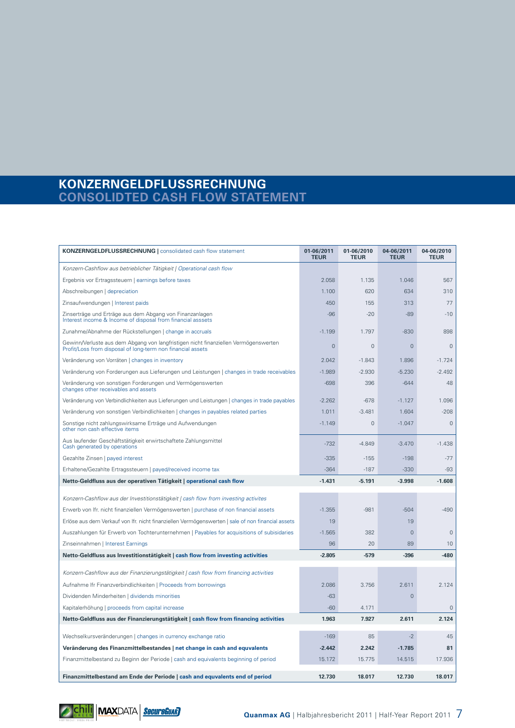### **KONZERNGELDFLUSSRECHNUNG CONSOLIDTED CASH FLOW STATEMENT**

| <b>KONZERNGELDFLUSSRECHNUNG   consolidated cash flow statement</b>                                                                                 |                | 01-06/2010<br><b>TEUR</b> | 04-06/2011<br><b>TEUR</b> | 04-06/2010<br><b>TEUR</b> |
|----------------------------------------------------------------------------------------------------------------------------------------------------|----------------|---------------------------|---------------------------|---------------------------|
| Konzern-Cashflow aus betrieblicher Tätigkeit   Operational cash flow                                                                               |                |                           |                           |                           |
| Ergebnis vor Ertragssteuern   earnings before taxes                                                                                                | 2.058          | 1.135                     | 1.046                     | 567                       |
| Abschreibungen   depreciation                                                                                                                      | 1.100          | 620                       | 634                       | 310                       |
| Zinsaufwendungen   Interest paids                                                                                                                  | 450            | 155                       | 313                       | 77                        |
| Zinserträge und Erträge aus dem Abgang von Finanzanlagen<br>Interest income & Income of disposal from financial asssets                            | $-96$          | $-20$                     | $-89$                     | $-10$                     |
| Zunahme/Abnahme der Rückstellungen   change in accruals                                                                                            | $-1.199$       | 1.797                     | $-830$                    | 898                       |
| Gewinn/Verluste aus dem Abgang von langfristigen nicht finanziellen Vermögenswerten<br>Profit/Loss from disposal of long-term non financial assets | $\overline{0}$ | $\mathbf 0$               | $\overline{0}$            | $\overline{0}$            |
| Veränderung von Vorräten   changes in inventory                                                                                                    | 2.042          | $-1.843$                  | 1.896                     | $-1.724$                  |
| Veränderung von Forderungen aus Lieferungen und Leistungen   changes in trade receivables                                                          | $-1.989$       | $-2.930$                  | $-5.230$                  | $-2.492$                  |
| Veränderung von sonstigen Forderungen und Vermögenswerten<br>changes other receivables and assets                                                  | $-698$         | 396                       | $-644$                    | 48                        |
| Veränderung von Verbindlichkeiten aus Lieferungen und Leistungen   changes in trade payables                                                       | $-2.262$       | $-678$                    | $-1.127$                  | 1.096                     |
| Veränderung von sonstigen Verbindlichkeiten   changes in payables related parties                                                                  | 1.011          | $-3.481$                  | 1.604                     | $-208$                    |
| Sonstige nicht zahlungswirksame Erträge und Aufwendungen<br>other non cash effective items                                                         | $-1.149$       | $\mathbf{0}$              | $-1.047$                  | $\mathbf 0$               |
| Aus laufender Geschäftstätigkeit erwirtschaftete Zahlungsmittel<br>Cash generated by operations                                                    | $-732$         | $-4.849$                  | $-3.470$                  | $-1.438$                  |
| Gezahlte Zinsen   payed interest                                                                                                                   | $-335$         | $-155$                    | $-198$                    | $-77$                     |
| Erhaltene/Gezahlte Ertragssteuern   payed/received income tax                                                                                      | $-364$         | $-187$                    | $-330$                    | $-93$                     |
| Netto-Geldfluss aus der operativen Tätigkeit   operational cash flow                                                                               | $-1.431$       | $-5.191$                  | $-3.998$                  | $-1.608$                  |
| Konzern-Cashflow aus der Investitionstätigkeit   cash flow from investing activites                                                                |                |                           |                           |                           |
| Erwerb von Ifr. nicht finanziellen Vermögenswerten   purchase of non financial assets                                                              | $-1.355$       | $-981$                    | $-504$                    | $-490$                    |
| Erlöse aus dem Verkauf von Ifr. nicht finanziellen Vermögenswerten   sale of non financial assets                                                  | 19             |                           | 19                        |                           |
| Auszahlungen für Erwerb von Tochterunternehmen   Payables for acquisitions of subisidaries                                                         | $-1.565$       | 382                       | $\overline{0}$            | $\overline{0}$            |
| Zinseinnahmen   Interest Earnings                                                                                                                  | 96             | 20                        | 89                        | 10                        |
| Netto-Geldfluss aus Investitionstätigkeit   cash flow from investing activities                                                                    | $-2.805$       | -579                      | $-396$                    | $-480$                    |
| Konzern-Cashflow aus der Finanzierungstätigkeit   cash flow from financing activities                                                              |                |                           |                           |                           |
| Aufnahme Ifr Finanzverbindlichkeiten   Proceeds from borrowings                                                                                    | 2.086          | 3.756                     | 2.611                     | 2.124                     |
| Dividenden Minderheiten   dividends minorities                                                                                                     | $-63$          |                           | $\overline{0}$            |                           |
| Kapitalerhöhung   proceeds from capital increase                                                                                                   | $-60$          | 4.171                     |                           | $\mathbf{0}$              |
| Netto-Geldfluss aus der Finanzierungstätigkeit   cash flow from financing activities                                                               | 1.963          | 7.927                     | 2.611                     | 2.124                     |
| Wechselkursveränderungen   changes in currency exchange ratio                                                                                      | $-169$         | 85                        | $-2$                      | 45                        |
| Veränderung des Finanzmittelbestandes   net change in cash and equvalents                                                                          | $-2.442$       | 2.242                     | $-1.785$                  | 81                        |
| Finanzmittelbestand zu Beginn der Periode   cash and equivalents beginning of period                                                               | 15.172         | 15.775                    | 14.515                    | 17.936                    |
| Finanzmittelbestand am Ende der Periode   cash and equvalents end of period                                                                        | 12.730         | 18.017                    | 12.730                    | 18.017                    |

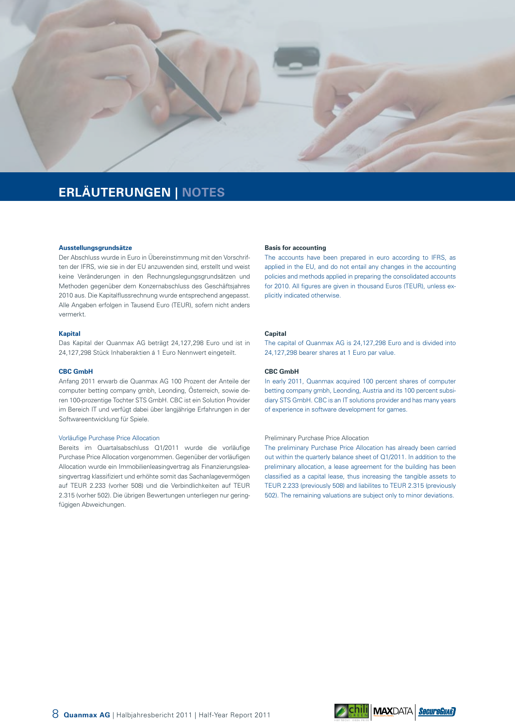

# **ERLÄUTERUNGEN | NOTES**

#### **Ausstellungsgrundsätze**

Der Abschluss wurde in Euro in Übereinstimmung mit den Vorschriften der IFRS, wie sie in der EU anzuwenden sind, erstellt und weist keine Veränderungen in den Rechnungslegungsgrundsätzen und Methoden gegenüber dem Konzernabschluss des Geschäftsjahres 2010 aus. Die Kapitalflussrechnung wurde entsprechend angepasst. Alle Angaben erfolgen in Tausend Euro (TEUR), sofern nicht anders vermerkt.

#### **Kapital**

Das Kapital der Quanmax AG beträgt 24,127,298 Euro und ist in 24,127,298 Stück Inhaberaktien á 1 Euro Nennwert eingeteilt.

#### **CBC GmbH**

Anfang 2011 erwarb die Quanmax AG 100 Prozent der Anteile der computer betting company gmbh, Leonding, Österreich, sowie deren 100-prozentige Tochter STS GmbH. CBC ist ein Solution Provider im Bereich IT und verfügt dabei über langjährige Erfahrungen in der Softwareentwicklung für Spiele.

#### Vorläufige Purchase Price Allocation

Bereits im Quartalsabschluss Q1/2011 wurde die vorläufige Purchase Price Allocation vorgenommen. Gegenüber der vorläufigen Allocation wurde ein Immobilienleasingvertrag als Finanzierungsleasingvertrag klassifiziert und erhöhte somit das Sachanlagevermögen auf TEUR 2.233 (vorher 508) und die Verbindlichkeiten auf TEUR 2.315 (vorher 502). Die übrigen Bewertungen unterliegen nur geringfügigen Abweichungen.

#### **Basis for accounting**

The accounts have been prepared in euro according to IFRS, as applied in the EU, and do not entail any changes in the accounting policies and methods applied in preparing the consolidated accounts for 2010. All figures are given in thousand Euros (TEUR), unless explicitly indicated otherwise.

#### **Capital**

The capital of Quanmax AG is 24,127,298 Euro and is divided into 24,127,298 bearer shares at 1 Euro par value.

#### **CBC GmbH**

In early 2011, Quanmax acquired 100 percent shares of computer betting company gmbh, Leonding, Austria and its 100 percent subsidiary STS GmbH. CBC is an IT solutions provider and has many years of experience in software development for games.

#### Preliminary Purchase Price Allocation

The preliminary Purchase Price Allocation has already been carried out within the quarterly balance sheet of Q1/2011. In addition to the preliminary allocation, a lease agreement for the building has been classified as a capital lease, thus increasing the tangible assets to TEUR 2.233 (previously 508) and liabilites to TEUR 2.315 (previously 502). The remaining valuations are subject only to minor deviations.

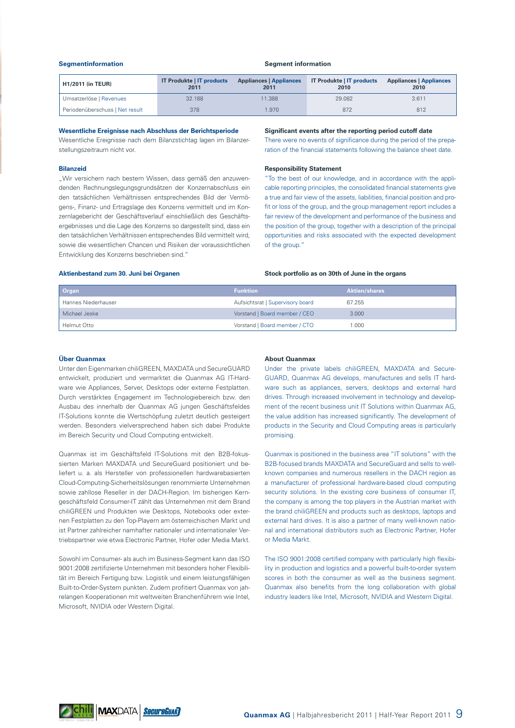#### **Segmentinformation**

#### **Segment information**

| <b>H1/2011 (in TEUR)</b>        | <b>IT Produkte   IT products</b><br>2011 | <b>Appliances   Appliances</b><br>2011 | <b>IT Produkte   IT products</b><br>2010 | <b>Appliances   Appliances</b><br>2010 |
|---------------------------------|------------------------------------------|----------------------------------------|------------------------------------------|----------------------------------------|
| Umsatzerlöse   Revenues         | 32.188                                   | 11.388                                 | 29,082                                   | 3.611                                  |
| Periodenüberschuss   Net result | 378                                      | .970                                   | 872                                      | 812                                    |

#### **Wesentliche Ereignisse nach Abschluss der Berichtsperiode**

Wesentliche Ereignisse nach dem Bilanzstichtag lagen im Bilanzerstellungszeitraum nicht vor.

#### **Bilanzeid**

"Wir versichern nach bestem Wissen, dass gemäß den anzuwendenden Rechnungslegungsgrundsätzen der Konzernabschluss ein den tatsächlichen Verhältnissen entsprechendes Bild der Vermögens-, Finanz- und Ertragslage des Konzerns vermittelt und im Konzernlagebericht der Geschäftsverlauf einschließlich des Geschäftsergebnisses und die Lage des Konzerns so dargestellt sind, dass ein den tatsächlichen Verhältnissen entsprechendes Bild vermittelt wird, sowie die wesentlichen Chancen und Risiken der voraussichtlichen Entwicklung des Konzerns beschrieben sind."

#### **Significant events after the reporting period cutoff date**

There were no events of significance during the period of the preparation of the financial statements following the balance sheet date.

#### **Responsibility Statement**

"To the best of our knowledge, and in accordance with the applicable reporting principles, the consolidated financial statements give a true and fair view of the assets, liabilities, financial position and profit or loss of the group, and the group management report includes a fair review of the development and performance of the business and the position of the group, together with a description of the principal opportunities and risks associated with the expected development of the group."

#### **Aktienbestand zum 30. Juni bei Organen**

#### **Stock portfolio as on 30th of June in the organs**

| <b>Organ</b>        | <b>Funktion</b>                  | <b>Aktien/shares</b> |
|---------------------|----------------------------------|----------------------|
| Hannes Niederhauser | Aufsichtsrat   Supervisory board | 67.255               |
| Michael Jeske       | Vorstand   Board member / CEO    | 3.000                |
| Helmut Otto         | Vorstand   Board member / CTO    | .000                 |

#### **Über Quanmax**

Unter den Eigenmarken chiliGREEN, MAXDATA und SecureGUARD entwickelt, produziert und vermarktet die Quanmax AG IT-Hardware wie Appliances, Server, Desktops oder externe Festplatten. Durch verstärktes Engagement im Technologiebereich bzw. den Ausbau des innerhalb der Quanmax AG jungen Geschäftsfeldes IT-Solutions konnte die Wertschöpfung zuletzt deutlich gesteigert werden. Besonders vielversprechend haben sich dabei Produkte im Bereich Security und Cloud Computing entwickelt.

Quanmax ist im Geschäftsfeld IT-Solutions mit den B2B-fokussierten Marken MAXDATA und SecureGuard positioniert und beliefert u. a. als Hersteller von professionellen hardwarebasierten Cloud-Computing-Sicherheitslösungen renommierte Unternehmen sowie zahllose Reseller in der DACH-Region. Im bisherigen Kerngeschäftsfeld Consumer-IT zählt das Unternehmen mit dem Brand chiliGREEN und Produkten wie Desktops, Notebooks oder externen Festplatten zu den Top-Playern am österreichischen Markt und ist Partner zahlreicher namhafter nationaler und internationaler Vertriebspartner wie etwa Electronic Partner, Hofer oder Media Markt.

Sowohl im Consumer- als auch im Business-Segment kann das ISO 9001:2008 zertifizierte Unternehmen mit besonders hoher Flexibilität im Bereich Fertigung bzw. Logistik und einem leistungsfähigen Built-to-Order-System punkten. Zudem profitiert Quanmax von jahrelangen Kooperationen mit weltweiten Branchenführern wie Intel, Microsoft, NVIDIA oder Western Digital.

#### **About Quanmax**

Under the private labels chiliGREEN, MAXDATA and Secure-GUARD, Quanmax AG develops, manufactures and sells IT hardware such as appliances, servers, desktops and external hard drives. Through increased involvement in technology and development of the recent business unit IT Solutions within Quanmax AG, the value addition has increased significantly. The development of products in the Security and Cloud Computing areas is particularly promising.

Quanmax is positioned in the business area "IT solutions" with the B2B-focused brands MAXDATA and SecureGuard and sells to wellknown companies and numerous resellers in the DACH region as a manufacturer of professional hardware-based cloud computing security solutions. In the existing core business of consumer IT, the company is among the top players in the Austrian market with the brand chiliGREEN and products such as desktops, laptops and external hard drives. It is also a partner of many well-known national and international distributors such as Electronic Partner, Hofer or Media Markt.

The ISO 9001:2008 certified company with particularly high flexibility in production and logistics and a powerful built-to-order system scores in both the consumer as well as the business segment. Quanmax also benefits from the long collaboration with global industry leaders like Intel, Microsoft, NVIDIA and Western Digital.

**State of SecureGuar**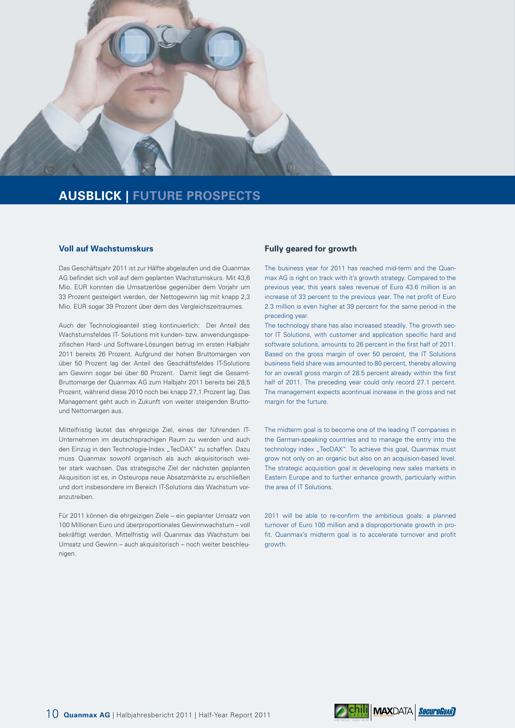

## **AUSBLICK | FUTURE PROSPECTS**

#### **Voll auf Wachstumskurs**

Das Geschäftsjahr 2011 ist zur Hälfte abgelaufen und die Quanmax AG befindet sich voll auf dem geplanten Wachstumskurs. Mit 43,6 Mio. EUR konnten die Umsatzerlöse gegenüber dem Vorjahr um 33 Prozent gesteigert werden, der Nettogewinn lag mit knapp 2,3 Mio. EUR sogar 39 Prozent über dem des Vergleichszeitraumes.

Auch der Technologieanteil stieg kontinuierlich: Der Anteil des Wachstumsfeldes IT- Solutions mit kunden- bzw. anwendungsspezifischen Hard- und Software-Lösungen betrug im ersten Halbjahr 2011 bereits 26 Prozent. Aufgrund der hohen Bruttomargen von über 50 Prozent lag der Anteil des Geschäftsfeldes IT-Solutions am Gewinn sogar bei über 80 Prozent. Damit liegt die Gesamt-Bruttomarge der Quanmax AG zum Halbjahr 2011 bereits bei 28,5 Prozent, während diese 2010 noch bei knapp 27,1 Prozent lag. Das Management geht auch in Zukunft von weiter steigenden Bruttound Nettomargen aus.

Mittelfristig lautet das ehrgeizige Ziel, eines der führenden IT-Unternehmen im deutschsprachigen Raum zu werden und auch den Einzug in den Technologie-Index "TecDAX" zu schaffen. Dazu muss Quanmax sowohl organisch als auch akquisitorisch weiter stark wachsen. Das strategische Ziel der nächsten geplanten Akquisition ist es, in Osteuropa neue Absatzmärkte zu erschließen und dort insbesondere im Bereich IT-Solutions das Wachstum voranzutreiben.

Für 2011 können die ehrgeizigen Ziele – ein geplanter Umsatz von 100 Millionen Euro und überproportionales Gewinnwachstum – voll bekräftigt werden. Mittelfristig will Quanmax das Wachstum bei Umsatz und Gewinn – auch akquisitorisch – noch weiter beschleunigen.

#### **Fully geared for growth**

The business year for 2011 has reached mid-term and the Quanmax AG is right on track with it's growth strategy. Compared to the previous year, this years sales revenue of Euro 43.6 million is an increase of 33 percent to the previous year. The net profit of Euro 2.3 million is even higher at 39 percent for the same period in the preceding year.

The technology share has also increased steadily. The growth sector IT Solutions, with customer and application specific hard and software solutions, amounts to 26 percent in the first half of 2011. Based on the gross margin of over 50 percent, the IT Solutions business field share was amounted to 80 percent, thereby allowing for an overall gross margin of 28.5 percent already within the first half of 2011. The preceding year could only record 27.1 percent. The management expects acontinual increase in the gross and net margin for the furture.

The midterm goal is to become one of the leading IT companies in the German-speaking countries and to manage the entry into the technology index "TecDAX". To achieve this goal, Quanmax must grow not only on an organic but also on an acquision-based level. The strategic acquisition goal is developing new sales markets in Eastern Europe and to further enhance growth, particularly within the area of IT Solutions.

2011 will be able to re-confirm the ambitious goals: a planned turnover of Euro 100 million and a disproportionate growth in profit. Quanmax's midterm goal is to accelerate turnover and profit growth.

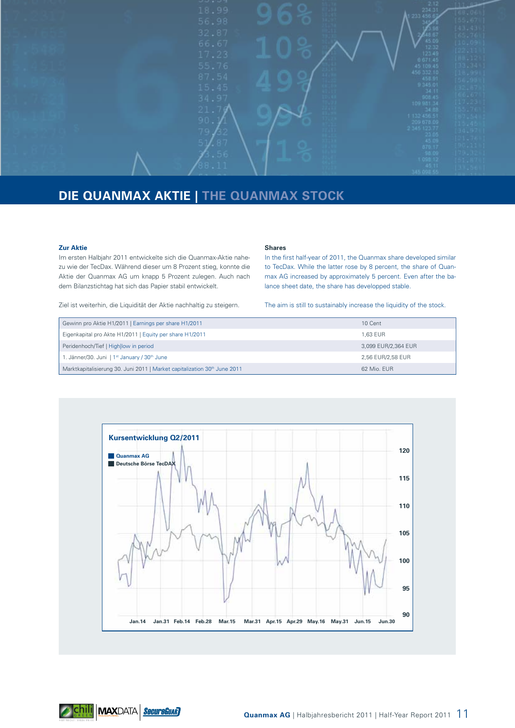

# **DIE QUANMAX AKTIE | THE QUANMAX STOCK**

#### **Zur Aktie**

Im ersten Halbjahr 2011 entwickelte sich die Quanmax-Aktie nahezu wie der TecDax. Während dieser um 8 Prozent stieg, konnte die Aktie der Quanmax AG um knapp 5 Prozent zulegen. Auch nach dem Bilanzstichtag hat sich das Papier stabil entwickelt.

#### **Shares**

In the first half-year of 2011, the Quanmax share developed similar to TecDax. While the latter rose by 8 percent, the share of Quanmax AG increased by approximately 5 percent. Even after the balance sheet date, the share has developped stable.

Ziel ist weiterhin, die Liquidität der Aktie nachhaltig zu steigern.

#### The aim is still to sustainably increase the liquidity of the stock.

| Gewinn pro Aktie H1/2011   Earnings per share H1/2011                                 | 10 Cent             |
|---------------------------------------------------------------------------------------|---------------------|
| Eigenkapital pro Akte H1/2011   Equity per share H1/2011                              | 1.63 EUR            |
| Peridenhoch/Tief   Highllow in period                                                 | 3,099 EUR/2,364 EUR |
| 1. Jänner/30. Juni   1 <sup>st</sup> January / 30 <sup>th</sup> June                  | 2.56 EUR/2.58 EUR   |
| Marktkapitalisierung 30. Juni 2011   Market capitalization 30 <sup>th</sup> June 2011 | 62 Mio. FUR         |